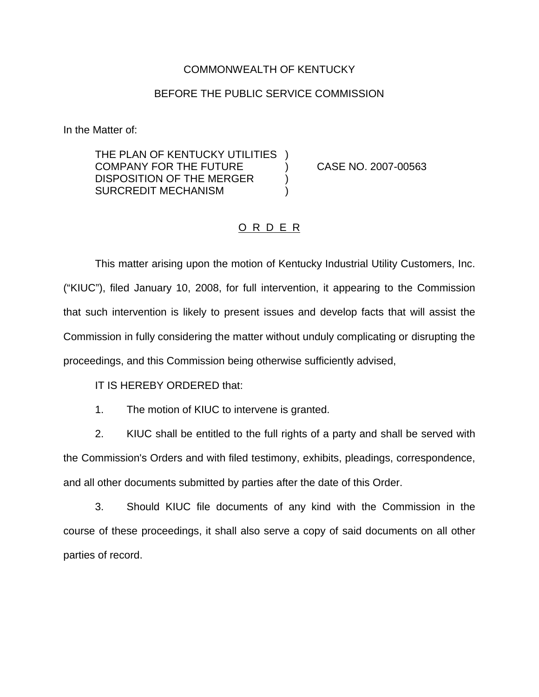## COMMONWEALTH OF KENTUCKY

## BEFORE THE PUBLIC SERVICE COMMISSION

In the Matter of:

THE PLAN OF KENTUCKY UTILITIES ) COMPANY FOR THE FUTURE ) CASE NO. 2007-00563 DISPOSITION OF THE MERGER  $)$ SURCREDIT MECHANISM (1999)

## O R D E R

This matter arising upon the motion of Kentucky Industrial Utility Customers, Inc. ("KIUC"), filed January 10, 2008, for full intervention, it appearing to the Commission that such intervention is likely to present issues and develop facts that will assist the Commission in fully considering the matter without unduly complicating or disrupting the proceedings, and this Commission being otherwise sufficiently advised,

IT IS HEREBY ORDERED that:

1. The motion of KIUC to intervene is granted.

2. KIUC shall be entitled to the full rights of a party and shall be served with the Commission's Orders and with filed testimony, exhibits, pleadings, correspondence, and all other documents submitted by parties after the date of this Order.

3. Should KIUC file documents of any kind with the Commission in the course of these proceedings, it shall also serve a copy of said documents on all other parties of record.